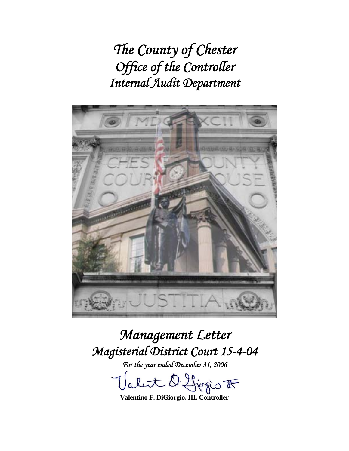*The County of Chester Office of the Controller Internal Audit Department* 



# *Management Letter Magisterial District Court 15-4-04*

*For the year ended December 31, 2006* 

 $\nexists$  ogor

**Valentino F. DiGiorgio, III, Controller**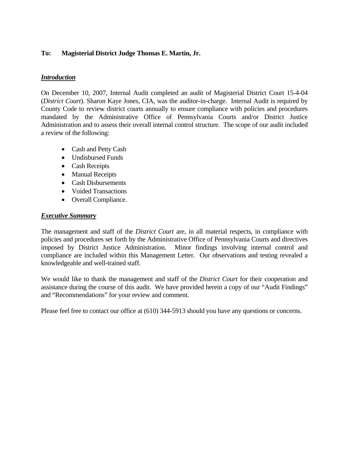## **To: Magisterial District Judge Thomas E. Martin, Jr.**

## *Introduction*

On December 10, 2007, Internal Audit completed an audit of Magisterial District Court 15-4-04 (*District Court*). Sharon Kaye Jones, CIA, was the auditor-in-charge. Internal Audit is required by County Code to review district courts annually to ensure compliance with policies and procedures mandated by the Administrative Office of Pennsylvania Courts and/or District Justice Administration and to assess their overall internal control structure. The scope of our audit included a review of the following:

- Cash and Petty Cash
- Undisbursed Funds
- Cash Receipts
- Manual Receipts
- Cash Disbursements
- Voided Transactions
- Overall Compliance.

#### *Executive Summary*

The management and staff of the *District Court* are, in all material respects, in compliance with policies and procedures set forth by the Administrative Office of Pennsylvania Courts and directives imposed by District Justice Administration. Minor findings involving internal control and compliance are included within this Management Letter. Our observations and testing revealed a knowledgeable and well-trained staff.

We would like to thank the management and staff of the *District Court* for their cooperation and assistance during the course of this audit. We have provided herein a copy of our "Audit Findings" and "Recommendations" for your review and comment.

Please feel free to contact our office at (610) 344-5913 should you have any questions or concerns.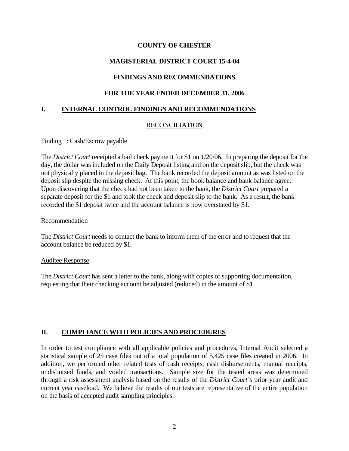### **COUNTY OF CHESTER**

## **MAGISTERIAL DISTRICT COURT 15-4-04**

## **FINDINGS AND RECOMMENDATIONS**

#### **FOR THE YEAR ENDED DECEMBER 31, 2006**

#### **I. INTERNAL CONTROL FINDINGS AND RECOMMENDATIONS**

#### RECONCILIATION

#### Finding 1: Cash/Escrow payable

The *District Court* receipted a bail check payment for \$1 on 1/20/06. In preparing the deposit for the day, the dollar was included on the Daily Deposit listing and on the deposit slip, but the check was not physically placed in the deposit bag. The bank recorded the deposit amount as was listed on the deposit slip despite the missing check. At this point, the book balance and bank balance agree. Upon discovering that the check had not been taken to the bank, the *District Court* prepared a separate deposit for the \$1 and took the check and deposit slip to the bank. As a result, the bank recorded the \$1 deposit twice and the account balance is now overstated by \$1.

#### Recommendation

The *District Court* needs to contact the bank to inform them of the error and to request that the account balance be reduced by \$1.

#### Auditee Response

The *District Court* has sent a letter to the bank, along with copies of supporting documentation, requesting that their checking account be adjusted (reduced) in the amount of \$1.

## **II. COMPLIANCE WITH POLICIES AND PROCEDURES**

In order to test compliance with all applicable policies and procedures, Internal Audit selected a statistical sample of 25 case files out of a total population of 5,425 case files created in 2006. In addition, we performed other related tests of cash receipts, cash disbursements, manual receipts, undisbursed funds, and voided transactions. Sample size for the tested areas was determined through a risk assessment analysis based on the results of the *District Court's* prior year audit and current year caseload. We believe the results of our tests are representative of the entire population on the basis of accepted audit sampling principles.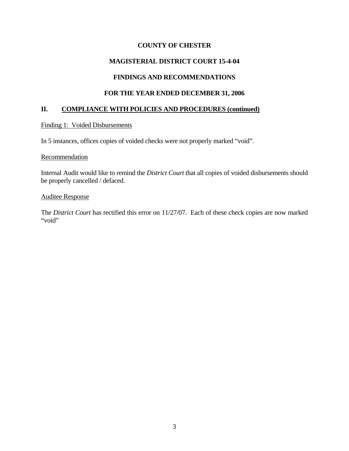## **COUNTY OF CHESTER**

# **MAGISTERIAL DISTRICT COURT 15-4-04**

## **FINDINGS AND RECOMMENDATIONS**

#### **FOR THE YEAR ENDED DECEMBER 31, 2006**

#### **II. COMPLIANCE WITH POLICIES AND PROCEDURES (continued)**

#### Finding 1: Voided Disbursements

In 5 instances, offices copies of voided checks were not properly marked "void".

#### **Recommendation**

Internal Audit would like to remind the *District Court* that all copies of voided disbursements should be properly cancelled / defaced.

#### Auditee Response

The *District Court* has rectified this error on 11/27/07. Each of these check copies are now marked "void"